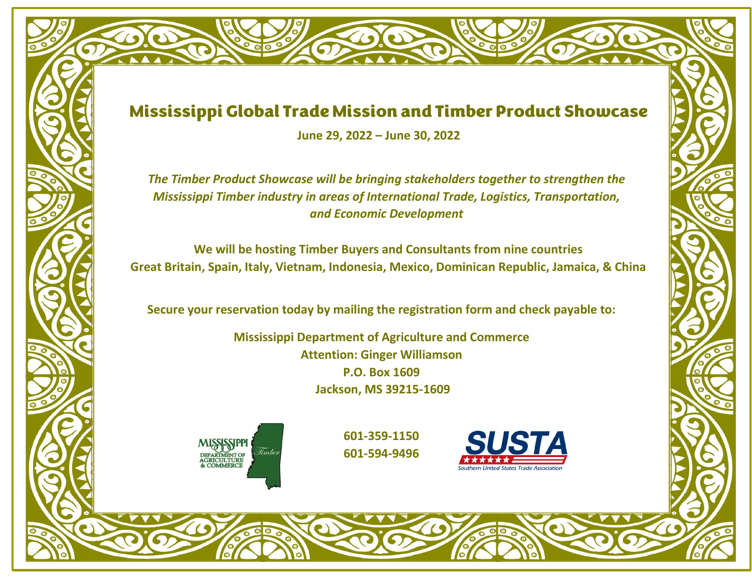## Mississippi Global Trade Mission and Timber Product Showcase

**June 29, 2022 – June 30, 2022**

*The Timber Product Showcase will be bringing stakeholders together to strengthen the Mississippi Timber industry in areas of International Trade, Logistics, Transportation, and Economic Development*

**We will be hosting Timber Buyers and Consultants from nine countries Great Britain, Spain, Italy, Vietnam, Indonesia, Mexico, Dominican Republic, Jamaica, & China**

**Secure your reservation today by mailing the registration form and check payable to:** 

**Mississippi Department of Agriculture and Commerce Attention: Ginger Williamson P.O. Box 1609 Jackson, MS 39215-1609**



**601-359-1150 601-594-9496**